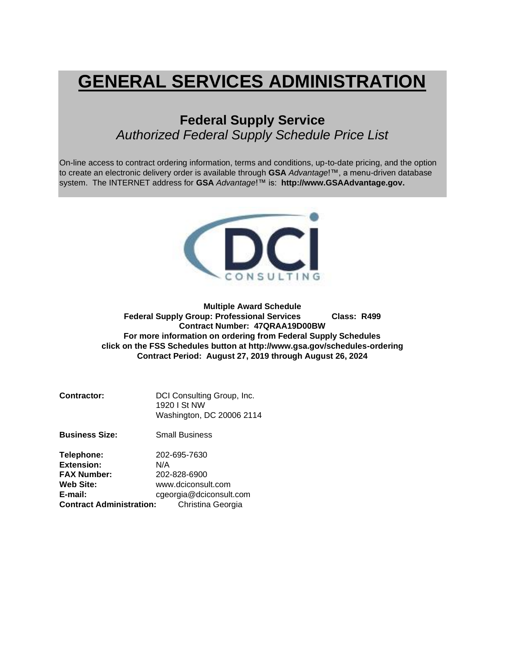# **GENERAL SERVICES ADMINISTRATION**

## **Federal Supply Service** *Authorized Federal Supply Schedule Price List*

On-line access to contract ordering information, terms and conditions, up-to-date pricing, and the option to create an electronic delivery order is available through **GSA** *Advantage*!™, a menu-driven database system. The INTERNET address for **GSA** *Advantage*!™ is: **http://www.GSAAdvantage.gov.**



**Multiple Award Schedule Federal Supply Group: Professional Services Class: R499 Contract Number: 47QRAA19D00BW For more information on ordering from Federal Supply Schedules click on the FSS Schedules button at http://www.gsa.gov/schedules-ordering Contract Period: August 27, 2019 through August 26, 2024**

| Contractor: | DCI Consulting Group, Inc. |
|-------------|----------------------------|
|             | 1920 I St NW               |
|             | Washington, DC 20006 2114  |

**Business Size:** Small Business

| Telephone:                      | 202-695-7630            |
|---------------------------------|-------------------------|
| <b>Extension:</b>               | N/A                     |
| <b>FAX Number:</b>              | 202-828-6900            |
| Web Site:                       | www.dciconsult.com      |
| E-mail:                         | cgeorgia@dciconsult.com |
| <b>Contract Administration:</b> | Christina Georgia       |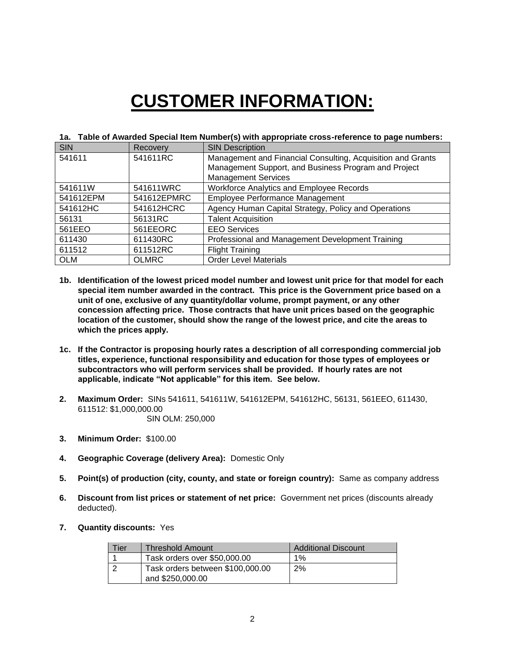# **CUSTOMER INFORMATION:**

| ıa.        | Table of Awarded Special Rent Number(S) with appropriate cross-reference to page numbers. |                                                             |  |  |  |  |
|------------|-------------------------------------------------------------------------------------------|-------------------------------------------------------------|--|--|--|--|
| <b>SIN</b> | Recovery                                                                                  | <b>SIN Description</b>                                      |  |  |  |  |
| 541611     | 541611RC                                                                                  | Management and Financial Consulting, Acquisition and Grants |  |  |  |  |
|            |                                                                                           | Management Support, and Business Program and Project        |  |  |  |  |
|            |                                                                                           | <b>Management Services</b>                                  |  |  |  |  |
| 541611W    | 541611WRC                                                                                 | Workforce Analytics and Employee Records                    |  |  |  |  |
| 541612EPM  | 541612EPMRC                                                                               | <b>Employee Performance Management</b>                      |  |  |  |  |
| 541612HC   | 541612HCRC                                                                                | Agency Human Capital Strategy, Policy and Operations        |  |  |  |  |
| 56131      | 56131RC                                                                                   | <b>Talent Acquisition</b>                                   |  |  |  |  |
| 561EEO     | 561EEORC                                                                                  | <b>EEO Services</b>                                         |  |  |  |  |
| 611430     | 611430RC                                                                                  | Professional and Management Development Training            |  |  |  |  |
| 611512     | 611512RC                                                                                  | <b>Flight Training</b>                                      |  |  |  |  |
| <b>OLM</b> | <b>OLMRC</b>                                                                              | <b>Order Level Materials</b>                                |  |  |  |  |

#### **1a. Table of Awarded Special Item Number(s) with appropriate cross-reference to page numbers:**

- **1b. Identification of the lowest priced model number and lowest unit price for that model for each special item number awarded in the contract. This price is the Government price based on a unit of one, exclusive of any quantity/dollar volume, prompt payment, or any other concession affecting price. Those contracts that have unit prices based on the geographic location of the customer, should show the range of the lowest price, and cite the areas to which the prices apply.**
- **1c. If the Contractor is proposing hourly rates a description of all corresponding commercial job titles, experience, functional responsibility and education for those types of employees or subcontractors who will perform services shall be provided. If hourly rates are not applicable, indicate "Not applicable" for this item. See below.**
- **2. Maximum Order:** SINs 541611, 541611W, 541612EPM, 541612HC, 56131, 561EEO, 611430, 611512: \$1,000,000.00 SIN OLM: 250,000
- **3. Minimum Order:** \$100.00
- **4. Geographic Coverage (delivery Area):** Domestic Only
- **5. Point(s) of production (city, county, and state or foreign country):** Same as company address
- **6. Discount from list prices or statement of net price:** Government net prices (discounts already deducted).
- **7. Quantity discounts:** Yes

| Гier | <b>Threshold Amount</b>                              | <b>Additional Discount</b> |
|------|------------------------------------------------------|----------------------------|
|      | Task orders over \$50,000.00                         | $1\%$                      |
|      | Task orders between \$100,000.00<br>and \$250,000.00 | 2%                         |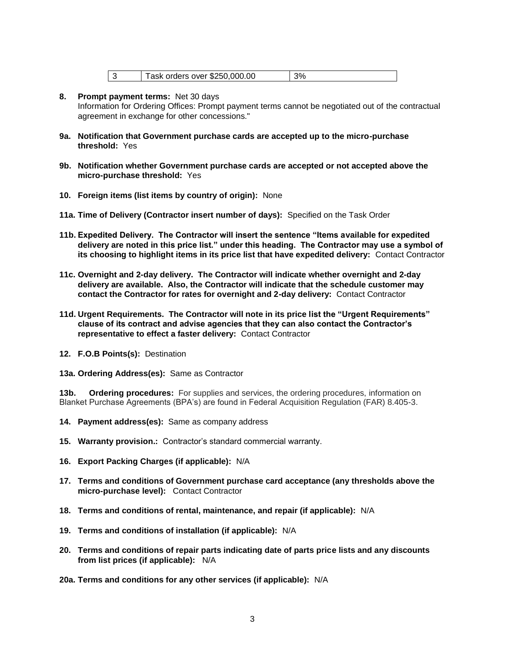| Task orders over \$250,000.00 | 3% |
|-------------------------------|----|
|-------------------------------|----|

**8. Prompt payment terms:** Net 30 days

Information for Ordering Offices: Prompt payment terms cannot be negotiated out of the contractual agreement in exchange for other concessions."

- **9a. Notification that Government purchase cards are accepted up to the micro-purchase threshold:** Yes
- **9b. Notification whether Government purchase cards are accepted or not accepted above the micro-purchase threshold:** Yes
- **10. Foreign items (list items by country of origin):** None
- **11a. Time of Delivery (Contractor insert number of days):** Specified on the Task Order
- **11b. Expedited Delivery. The Contractor will insert the sentence "Items available for expedited delivery are noted in this price list." under this heading. The Contractor may use a symbol of its choosing to highlight items in its price list that have expedited delivery:** Contact Contractor
- **11c. Overnight and 2-day delivery. The Contractor will indicate whether overnight and 2-day delivery are available. Also, the Contractor will indicate that the schedule customer may contact the Contractor for rates for overnight and 2-day delivery:** Contact Contractor
- **11d. Urgent Requirements. The Contractor will note in its price list the "Urgent Requirements" clause of its contract and advise agencies that they can also contact the Contractor's representative to effect a faster delivery:** Contact Contractor
- **12. F.O.B Points(s):** Destination
- **13a. Ordering Address(es):** Same as Contractor

**13b. Ordering procedures:** For supplies and services, the ordering procedures, information on Blanket Purchase Agreements (BPA's) are found in Federal Acquisition Regulation (FAR) 8.405-3.

- **14. Payment address(es):** Same as company address
- **15. Warranty provision.:** Contractor's standard commercial warranty.
- **16. Export Packing Charges (if applicable):** N/A
- **17. Terms and conditions of Government purchase card acceptance (any thresholds above the micro-purchase level):** Contact Contractor
- **18. Terms and conditions of rental, maintenance, and repair (if applicable):** N/A
- **19. Terms and conditions of installation (if applicable):** N/A
- **20. Terms and conditions of repair parts indicating date of parts price lists and any discounts from list prices (if applicable):** N/A

**20a. Terms and conditions for any other services (if applicable):** N/A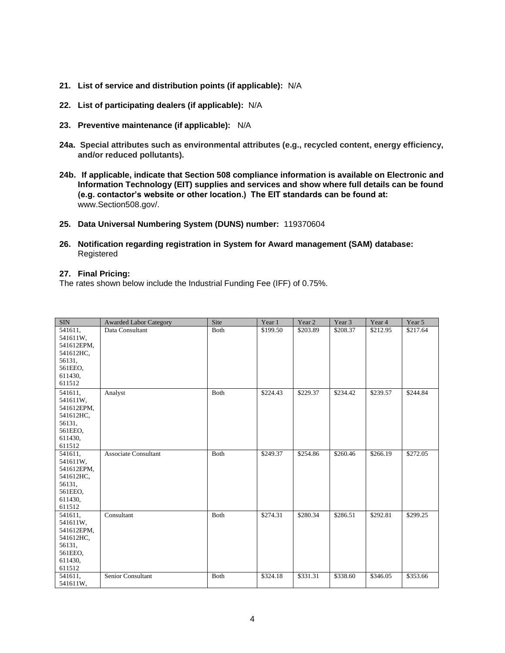- **21. List of service and distribution points (if applicable):** N/A
- **22. List of participating dealers (if applicable):** N/A
- **23. Preventive maintenance (if applicable):** N/A
- **24a. Special attributes such as environmental attributes (e.g., recycled content, energy efficiency, and/or reduced pollutants).**
- **24b. If applicable, indicate that Section 508 compliance information is available on Electronic and Information Technology (EIT) supplies and services and show where full details can be found (e.g. contactor's website or other location.) The EIT standards can be found at:**  www.Section508.gov/.
- **25. Data Universal Numbering System (DUNS) number:** 119370604
- **26. Notification regarding registration in System for Award management (SAM) database:**  Registered

#### **27. Final Pricing:**

The rates shown below include the Industrial Funding Fee (IFF) of 0.75%.

| <b>SIN</b>         | <b>Awarded Labor Category</b> | Site | Year 1   | Year 2   | Year 3   | Year 4   | Year 5   |
|--------------------|-------------------------------|------|----------|----------|----------|----------|----------|
| 541611,            | Data Consultant               | Both | \$199.50 | \$203.89 | \$208.37 | \$212.95 | \$217.64 |
| 541611W,           |                               |      |          |          |          |          |          |
| 541612EPM,         |                               |      |          |          |          |          |          |
| 541612HC,          |                               |      |          |          |          |          |          |
| 56131,             |                               |      |          |          |          |          |          |
| 561EEO,            |                               |      |          |          |          |          |          |
| 611430,            |                               |      |          |          |          |          |          |
| 611512             |                               |      |          |          |          |          |          |
| 541611,            | Analyst                       | Both | \$224.43 | \$229.37 | \$234.42 | \$239.57 | \$244.84 |
| 541611W,           |                               |      |          |          |          |          |          |
| 541612EPM,         |                               |      |          |          |          |          |          |
| 541612HC,          |                               |      |          |          |          |          |          |
| 56131.             |                               |      |          |          |          |          |          |
| 561EEO,            |                               |      |          |          |          |          |          |
| 611430,            |                               |      |          |          |          |          |          |
| 611512             |                               |      |          |          |          |          |          |
| 541611,            | <b>Associate Consultant</b>   | Both | \$249.37 | \$254.86 | \$260.46 | \$266.19 | \$272.05 |
| 541611W,           |                               |      |          |          |          |          |          |
| 541612EPM,         |                               |      |          |          |          |          |          |
| 541612HC,          |                               |      |          |          |          |          |          |
| 56131,             |                               |      |          |          |          |          |          |
| 561EEO,<br>611430, |                               |      |          |          |          |          |          |
| 611512             |                               |      |          |          |          |          |          |
| 541611,            | Consultant                    | Both | \$274.31 | \$280.34 | \$286.51 | \$292.81 | \$299.25 |
| 541611W,           |                               |      |          |          |          |          |          |
| 541612EPM,         |                               |      |          |          |          |          |          |
| 541612HC,          |                               |      |          |          |          |          |          |
| 56131,             |                               |      |          |          |          |          |          |
| 561EEO,            |                               |      |          |          |          |          |          |
| 611430,            |                               |      |          |          |          |          |          |
| 611512             |                               |      |          |          |          |          |          |
| 541611,            | Senior Consultant             | Both | \$324.18 | \$331.31 | \$338.60 | \$346.05 | \$353.66 |
| 541611W,           |                               |      |          |          |          |          |          |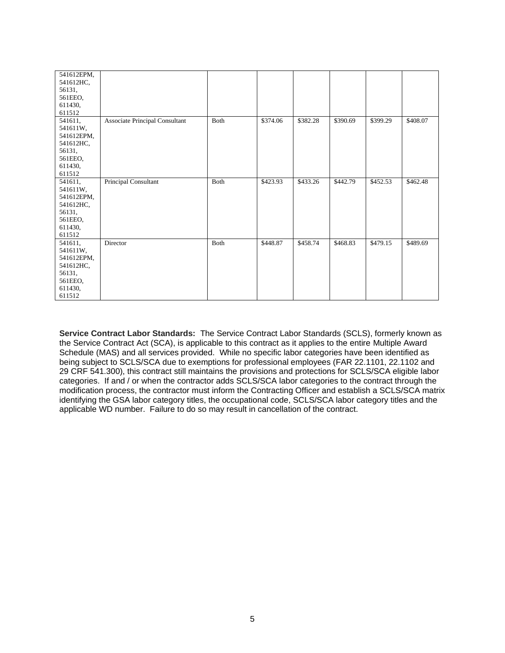| 541612EPM, |                                |      |          |          |          |          |          |
|------------|--------------------------------|------|----------|----------|----------|----------|----------|
| 541612HC,  |                                |      |          |          |          |          |          |
| 56131,     |                                |      |          |          |          |          |          |
| 561EEO,    |                                |      |          |          |          |          |          |
| 611430,    |                                |      |          |          |          |          |          |
| 611512     |                                |      |          |          |          |          |          |
| 541611,    | Associate Principal Consultant | Both | \$374.06 | \$382.28 | \$390.69 | \$399.29 | \$408.07 |
| 541611W,   |                                |      |          |          |          |          |          |
| 541612EPM, |                                |      |          |          |          |          |          |
| 541612HC,  |                                |      |          |          |          |          |          |
| 56131,     |                                |      |          |          |          |          |          |
| 561EEO,    |                                |      |          |          |          |          |          |
| 611430,    |                                |      |          |          |          |          |          |
| 611512     |                                |      |          |          |          |          |          |
| 541611,    | Principal Consultant           | Both | \$423.93 | \$433.26 | \$442.79 | \$452.53 | \$462.48 |
| 541611W,   |                                |      |          |          |          |          |          |
| 541612EPM, |                                |      |          |          |          |          |          |
| 541612HC,  |                                |      |          |          |          |          |          |
| 56131,     |                                |      |          |          |          |          |          |
| 561EEO,    |                                |      |          |          |          |          |          |
| 611430,    |                                |      |          |          |          |          |          |
| 611512     |                                |      |          |          |          |          |          |
| 541611,    | Director                       | Both | \$448.87 | \$458.74 | \$468.83 | \$479.15 | \$489.69 |
| 541611W,   |                                |      |          |          |          |          |          |
| 541612EPM, |                                |      |          |          |          |          |          |
| 541612HC,  |                                |      |          |          |          |          |          |
| 56131,     |                                |      |          |          |          |          |          |
| 561EEO,    |                                |      |          |          |          |          |          |
| 611430,    |                                |      |          |          |          |          |          |
| 611512     |                                |      |          |          |          |          |          |

**Service Contract Labor Standards:** The Service Contract Labor Standards (SCLS), formerly known as the Service Contract Act (SCA), is applicable to this contract as it applies to the entire Multiple Award Schedule (MAS) and all services provided. While no specific labor categories have been identified as being subject to SCLS/SCA due to exemptions for professional employees (FAR 22.1101, 22.1102 and 29 CRF 541.300), this contract still maintains the provisions and protections for SCLS/SCA eligible labor categories. If and / or when the contractor adds SCLS/SCA labor categories to the contract through the modification process, the contractor must inform the Contracting Officer and establish a SCLS/SCA matrix identifying the GSA labor category titles, the occupational code, SCLS/SCA labor category titles and the applicable WD number. Failure to do so may result in cancellation of the contract.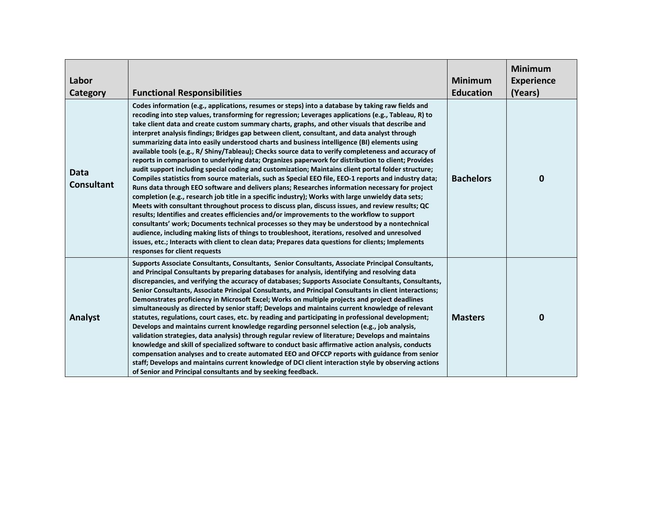| Labor<br>Category                | <b>Functional Responsibilities</b>                                                                                                                                                                                                                                                                                                                                                                                                                                                                                                                                                                                                                                                                                                                                                                                                                                                                                                                                                                                                                                                                                                                                                                                                                                                                                                                                                                                                                                                                                                                                                                                                                                                              | <b>Minimum</b><br><b>Education</b> | <b>Minimum</b><br><b>Experience</b><br>(Years) |
|----------------------------------|-------------------------------------------------------------------------------------------------------------------------------------------------------------------------------------------------------------------------------------------------------------------------------------------------------------------------------------------------------------------------------------------------------------------------------------------------------------------------------------------------------------------------------------------------------------------------------------------------------------------------------------------------------------------------------------------------------------------------------------------------------------------------------------------------------------------------------------------------------------------------------------------------------------------------------------------------------------------------------------------------------------------------------------------------------------------------------------------------------------------------------------------------------------------------------------------------------------------------------------------------------------------------------------------------------------------------------------------------------------------------------------------------------------------------------------------------------------------------------------------------------------------------------------------------------------------------------------------------------------------------------------------------------------------------------------------------|------------------------------------|------------------------------------------------|
| <b>Data</b><br><b>Consultant</b> | Codes information (e.g., applications, resumes or steps) into a database by taking raw fields and<br>recoding into step values, transforming for regression; Leverages applications (e.g., Tableau, R) to<br>take client data and create custom summary charts, graphs, and other visuals that describe and<br>interpret analysis findings; Bridges gap between client, consultant, and data analyst through<br>summarizing data into easily understood charts and business intelligence (BI) elements using<br>available tools (e.g., R/ Shiny/Tableau); Checks source data to verify completeness and accuracy of<br>reports in comparison to underlying data; Organizes paperwork for distribution to client; Provides<br>audit support including special coding and customization; Maintains client portal folder structure;<br>Compiles statistics from source materials, such as Special EEO file, EEO-1 reports and industry data;<br>Runs data through EEO software and delivers plans; Researches information necessary for project<br>completion (e.g., research job title in a specific industry); Works with large unwieldy data sets;<br>Meets with consultant throughout process to discuss plan, discuss issues, and review results; QC<br>results; Identifies and creates efficiencies and/or improvements to the workflow to support<br>consultants' work; Documents technical processes so they may be understood by a nontechnical<br>audience, including making lists of things to troubleshoot, iterations, resolved and unresolved<br>issues, etc.; Interacts with client to clean data; Prepares data questions for clients; Implements<br>responses for client requests | <b>Bachelors</b>                   | $\boldsymbol{0}$                               |
| <b>Analyst</b>                   | Supports Associate Consultants, Consultants, Senior Consultants, Associate Principal Consultants,<br>and Principal Consultants by preparing databases for analysis, identifying and resolving data<br>discrepancies, and verifying the accuracy of databases; Supports Associate Consultants, Consultants,<br>Senior Consultants, Associate Principal Consultants, and Principal Consultants in client interactions;<br>Demonstrates proficiency in Microsoft Excel; Works on multiple projects and project deadlines<br>simultaneously as directed by senior staff; Develops and maintains current knowledge of relevant<br>statutes, regulations, court cases, etc. by reading and participating in professional development;<br>Develops and maintains current knowledge regarding personnel selection (e.g., job analysis,<br>validation strategies, data analysis) through regular review of literature; Develops and maintains<br>knowledge and skill of specialized software to conduct basic affirmative action analysis, conducts<br>compensation analyses and to create automated EEO and OFCCP reports with guidance from senior<br>staff; Develops and maintains current knowledge of DCI client interaction style by observing actions<br>of Senior and Principal consultants and by seeking feedback.                                                                                                                                                                                                                                                                                                                                                                             | <b>Masters</b>                     | $\mathbf 0$                                    |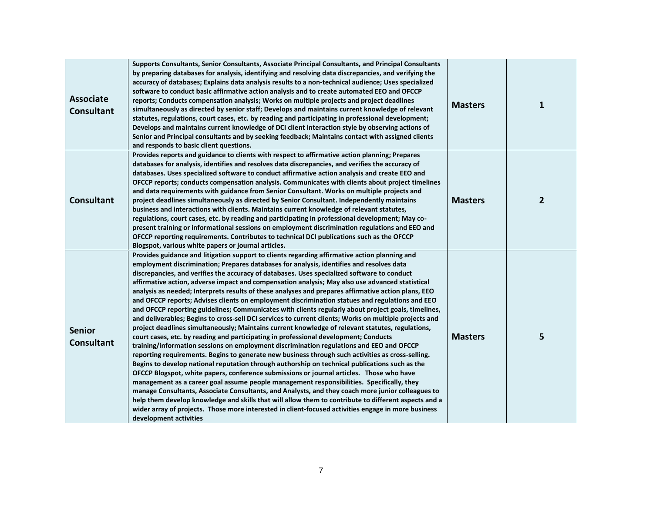| <b>Associate</b><br><b>Consultant</b> | Supports Consultants, Senior Consultants, Associate Principal Consultants, and Principal Consultants<br>by preparing databases for analysis, identifying and resolving data discrepancies, and verifying the<br>accuracy of databases; Explains data analysis results to a non-technical audience; Uses specialized<br>software to conduct basic affirmative action analysis and to create automated EEO and OFCCP<br>reports; Conducts compensation analysis; Works on multiple projects and project deadlines<br>simultaneously as directed by senior staff; Develops and maintains current knowledge of relevant<br>statutes, regulations, court cases, etc. by reading and participating in professional development;<br>Develops and maintains current knowledge of DCI client interaction style by observing actions of<br>Senior and Principal consultants and by seeking feedback; Maintains contact with assigned clients<br>and responds to basic client questions.                                                                                                                                                                                                                                                                                                                                                                                                                                                                                                                                                                                                                                                                                                                                                                                                                                                                                | <b>Masters</b> | 1            |
|---------------------------------------|--------------------------------------------------------------------------------------------------------------------------------------------------------------------------------------------------------------------------------------------------------------------------------------------------------------------------------------------------------------------------------------------------------------------------------------------------------------------------------------------------------------------------------------------------------------------------------------------------------------------------------------------------------------------------------------------------------------------------------------------------------------------------------------------------------------------------------------------------------------------------------------------------------------------------------------------------------------------------------------------------------------------------------------------------------------------------------------------------------------------------------------------------------------------------------------------------------------------------------------------------------------------------------------------------------------------------------------------------------------------------------------------------------------------------------------------------------------------------------------------------------------------------------------------------------------------------------------------------------------------------------------------------------------------------------------------------------------------------------------------------------------------------------------------------------------------------------------------------------------|----------------|--------------|
| <b>Consultant</b>                     | Provides reports and guidance to clients with respect to affirmative action planning; Prepares<br>databases for analysis, identifies and resolves data discrepancies, and verifies the accuracy of<br>databases. Uses specialized software to conduct affirmative action analysis and create EEO and<br>OFCCP reports; conducts compensation analysis. Communicates with clients about project timelines<br>and data requirements with guidance from Senior Consultant. Works on multiple projects and<br>project deadlines simultaneously as directed by Senior Consultant. Independently maintains<br>business and interactions with clients. Maintains current knowledge of relevant statutes,<br>regulations, court cases, etc. by reading and participating in professional development; May co-<br>present training or informational sessions on employment discrimination regulations and EEO and<br>OFCCP reporting requirements. Contributes to technical DCI publications such as the OFCCP<br>Blogspot, various white papers or journal articles.                                                                                                                                                                                                                                                                                                                                                                                                                                                                                                                                                                                                                                                                                                                                                                                                 | <b>Masters</b> | $\mathbf{2}$ |
| <b>Senior</b><br><b>Consultant</b>    | Provides guidance and litigation support to clients regarding affirmative action planning and<br>employment discrimination; Prepares databases for analysis, identifies and resolves data<br>discrepancies, and verifies the accuracy of databases. Uses specialized software to conduct<br>affirmative action, adverse impact and compensation analysis; May also use advanced statistical<br>analysis as needed; Interprets results of these analyses and prepares affirmative action plans, EEO<br>and OFCCP reports; Advises clients on employment discrimination statues and regulations and EEO<br>and OFCCP reporting guidelines; Communicates with clients regularly about project goals, timelines,<br>and deliverables; Begins to cross-sell DCI services to current clients; Works on multiple projects and<br>project deadlines simultaneously; Maintains current knowledge of relevant statutes, regulations,<br>court cases, etc. by reading and participating in professional development; Conducts<br>training/information sessions on employment discrimination regulations and EEO and OFCCP<br>reporting requirements. Begins to generate new business through such activities as cross-selling.<br>Begins to develop national reputation through authorship on technical publications such as the<br>OFCCP Blogspot, white papers, conference submissions or journal articles. Those who have<br>management as a career goal assume people management responsibilities. Specifically, they<br>manage Consultants, Associate Consultants, and Analysts, and they coach more junior colleagues to<br>help them develop knowledge and skills that will allow them to contribute to different aspects and a<br>wider array of projects. Those more interested in client-focused activities engage in more business<br>development activities | <b>Masters</b> | 5            |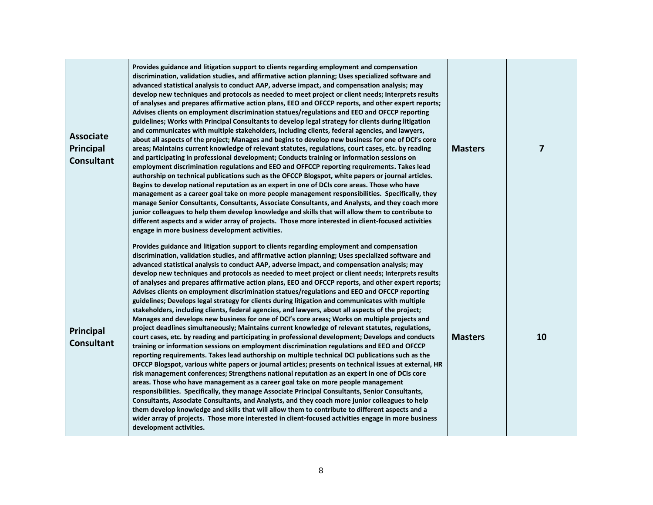| <b>Associate</b><br>Principal<br><b>Consultant</b> | Provides guidance and litigation support to clients regarding employment and compensation<br>discrimination, validation studies, and affirmative action planning; Uses specialized software and<br>advanced statistical analysis to conduct AAP, adverse impact, and compensation analysis; may<br>develop new techniques and protocols as needed to meet project or client needs; Interprets results<br>of analyses and prepares affirmative action plans, EEO and OFCCP reports, and other expert reports;<br>Advises clients on employment discrimination statues/regulations and EEO and OFCCP reporting<br>guidelines; Works with Principal Consultants to develop legal strategy for clients during litigation<br>and communicates with multiple stakeholders, including clients, federal agencies, and lawyers,<br>about all aspects of the project; Manages and begins to develop new business for one of DCI's core<br>areas; Maintains current knowledge of relevant statutes, regulations, court cases, etc. by reading<br>and participating in professional development; Conducts training or information sessions on<br>employment discrimination regulations and EEO and OFFCCP reporting requirements. Takes lead<br>authorship on technical publications such as the OFCCP Blogspot, white papers or journal articles.<br>Begins to develop national reputation as an expert in one of DCIs core areas. Those who have<br>management as a career goal take on more people management responsibilities. Specifically, they<br>manage Senior Consultants, Consultants, Associate Consultants, and Analysts, and they coach more<br>junior colleagues to help them develop knowledge and skills that will allow them to contribute to<br>different aspects and a wider array of projects. Those more interested in client-focused activities<br>engage in more business development activities.                                                                                                                                                                  | <b>Masters</b> | 7  |
|----------------------------------------------------|-------------------------------------------------------------------------------------------------------------------------------------------------------------------------------------------------------------------------------------------------------------------------------------------------------------------------------------------------------------------------------------------------------------------------------------------------------------------------------------------------------------------------------------------------------------------------------------------------------------------------------------------------------------------------------------------------------------------------------------------------------------------------------------------------------------------------------------------------------------------------------------------------------------------------------------------------------------------------------------------------------------------------------------------------------------------------------------------------------------------------------------------------------------------------------------------------------------------------------------------------------------------------------------------------------------------------------------------------------------------------------------------------------------------------------------------------------------------------------------------------------------------------------------------------------------------------------------------------------------------------------------------------------------------------------------------------------------------------------------------------------------------------------------------------------------------------------------------------------------------------------------------------------------------------------------------------------------------------------------------------------------------------------------------------------------------------------|----------------|----|
| <b>Principal</b><br><b>Consultant</b>              | Provides guidance and litigation support to clients regarding employment and compensation<br>discrimination, validation studies, and affirmative action planning; Uses specialized software and<br>advanced statistical analysis to conduct AAP, adverse impact, and compensation analysis; may<br>develop new techniques and protocols as needed to meet project or client needs; Interprets results<br>of analyses and prepares affirmative action plans, EEO and OFCCP reports, and other expert reports;<br>Advises clients on employment discrimination statues/regulations and EEO and OFCCP reporting<br>guidelines; Develops legal strategy for clients during litigation and communicates with multiple<br>stakeholders, including clients, federal agencies, and lawyers, about all aspects of the project;<br>Manages and develops new business for one of DCI's core areas; Works on multiple projects and<br>project deadlines simultaneously; Maintains current knowledge of relevant statutes, regulations,<br>court cases, etc. by reading and participating in professional development; Develops and conducts<br>training or information sessions on employment discrimination regulations and EEO and OFCCP<br>reporting requirements. Takes lead authorship on multiple technical DCI publications such as the<br>OFCCP Blogspot, various white papers or journal articles; presents on technical issues at external, HR<br>risk management conferences; Strengthens national reputation as an expert in one of DCIs core<br>areas. Those who have management as a career goal take on more people management<br>responsibilities. Specifically, they manage Associate Principal Consultants, Senior Consultants,<br>Consultants, Associate Consultants, and Analysts, and they coach more junior colleagues to help<br>them develop knowledge and skills that will allow them to contribute to different aspects and a<br>wider array of projects. Those more interested in client-focused activities engage in more business<br>development activities. | <b>Masters</b> | 10 |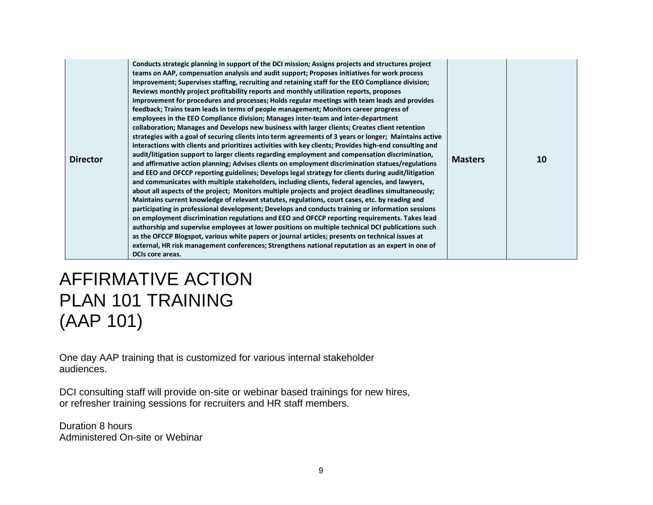| <b>Director</b> | Conducts strategic planning in support of the DCI mission; Assigns projects and structures project<br>teams on AAP, compensation analysis and audit support; Proposes initiatives for work process<br>improvement; Supervises staffing, recruiting and retaining staff for the EEO Compliance division;<br>Reviews monthly project profitability reports and monthly utilization reports, proposes<br>improvement for procedures and processes; Holds regular meetings with team leads and provides<br>feedback; Trains team leads in terms of people management; Monitors career progress of<br>employees in the EEO Compliance division; Manages inter-team and inter-department<br>collaboration; Manages and Develops new business with larger clients; Creates client retention<br>strategies with a goal of securing clients into term agreements of 3 years or longer; Maintains active<br>interactions with clients and prioritizes activities with key clients; Provides high-end consulting and<br>audit/litigation support to larger clients regarding employment and compensation discrimination,<br>and affirmative action planning; Advises clients on employment discrimination statues/regulations<br>and EEO and OFCCP reporting guidelines; Develops legal strategy for clients during audit/litigation<br>and communicates with multiple stakeholders, including clients, federal agencies, and lawyers,<br>about all aspects of the project; Monitors multiple projects and project deadlines simultaneously;<br>Maintains current knowledge of relevant statutes, regulations, court cases, etc. by reading and<br>participating in professional development; Develops and conducts training or information sessions<br>on employment discrimination regulations and EEO and OFCCP reporting requirements. Takes lead<br>authorship and supervise employees at lower positions on multiple technical DCI publications such<br>as the OFCCP Blogspot, various white papers or journal articles; presents on technical issues at<br>external, HR risk management conferences; Strengthens national reputation as an expert in one of<br><b>DCIs core areas.</b> | <b>Masters</b> | 10 |
|-----------------|------------------------------------------------------------------------------------------------------------------------------------------------------------------------------------------------------------------------------------------------------------------------------------------------------------------------------------------------------------------------------------------------------------------------------------------------------------------------------------------------------------------------------------------------------------------------------------------------------------------------------------------------------------------------------------------------------------------------------------------------------------------------------------------------------------------------------------------------------------------------------------------------------------------------------------------------------------------------------------------------------------------------------------------------------------------------------------------------------------------------------------------------------------------------------------------------------------------------------------------------------------------------------------------------------------------------------------------------------------------------------------------------------------------------------------------------------------------------------------------------------------------------------------------------------------------------------------------------------------------------------------------------------------------------------------------------------------------------------------------------------------------------------------------------------------------------------------------------------------------------------------------------------------------------------------------------------------------------------------------------------------------------------------------------------------------------------------------------------------------------------------------------------------------------------------|----------------|----|
|-----------------|------------------------------------------------------------------------------------------------------------------------------------------------------------------------------------------------------------------------------------------------------------------------------------------------------------------------------------------------------------------------------------------------------------------------------------------------------------------------------------------------------------------------------------------------------------------------------------------------------------------------------------------------------------------------------------------------------------------------------------------------------------------------------------------------------------------------------------------------------------------------------------------------------------------------------------------------------------------------------------------------------------------------------------------------------------------------------------------------------------------------------------------------------------------------------------------------------------------------------------------------------------------------------------------------------------------------------------------------------------------------------------------------------------------------------------------------------------------------------------------------------------------------------------------------------------------------------------------------------------------------------------------------------------------------------------------------------------------------------------------------------------------------------------------------------------------------------------------------------------------------------------------------------------------------------------------------------------------------------------------------------------------------------------------------------------------------------------------------------------------------------------------------------------------------------------|----------------|----|

## AFFIRMATIVE ACTION PLAN 101 TRAINING (AAP 101)

One day AAP training that is customized for various internal stakeholder audiences.

DCI consulting staff will provide on-site or webinar based trainings for new hires, or refresher training sessions for recruiters and HR staff members.

Duration 8 hours Administered On-site or Webinar